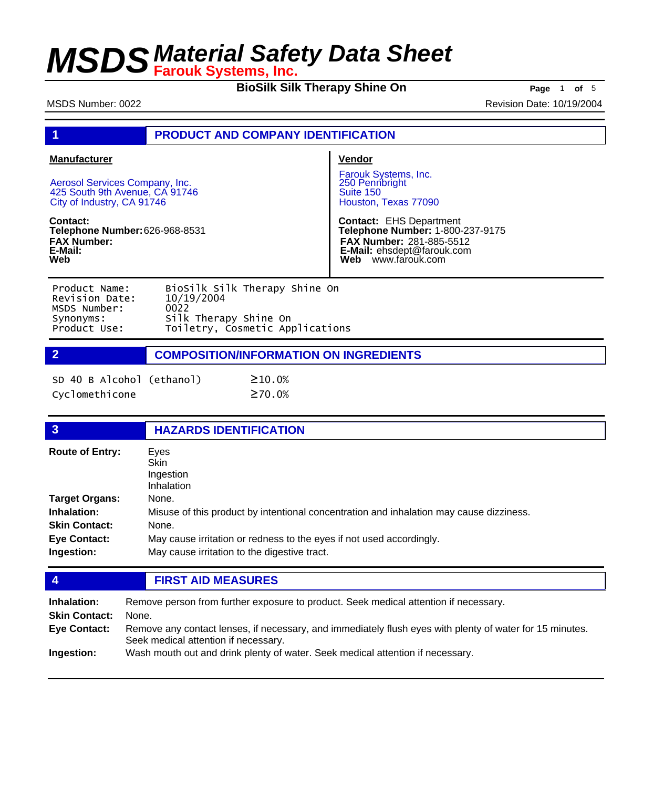**BioSilk Silk Therapy Shine On** Page 1 of 5

MSDS Number: 0022 **Revision Date: 10/19/2004** 

## **1 PRODUCT AND COMPANY IDENTIFICATION**

| <b>Manufacturer</b>                                                                            | <b>Vendor</b>                                                                                                                                                       |
|------------------------------------------------------------------------------------------------|---------------------------------------------------------------------------------------------------------------------------------------------------------------------|
| Aerosol Services Company, Inc.<br>425 South 9th Avenue, CA 91746<br>City of Industry, CA 91746 | Farouk Systems, Inc.<br>250 Pennbright<br>Suite 150<br>Houston, Texas 77090                                                                                         |
| Contact:<br><b>Telephone Number: 626-968-8531</b><br><b>FAX Number:</b><br>E-Mail:<br>Web      | <b>Contact: EHS Department</b><br>Telephone Number: 1-800-237-9175<br><b>FAX Number: 281-885-5512</b><br><b>E-Mail:</b> ehsdept@farouk.com<br>www.farouk.com<br>Web |
| Piosilk silk Therany Shine On<br>Droduct Namo:                                                 |                                                                                                                                                                     |

| PIUUULL NAME.  | <b>DIUSTIK STIK THETADY SITTLE UIT</b> |
|----------------|----------------------------------------|
| Revision Date: | 10/19/2004                             |
| MSDS Number:   | 0022                                   |
| Synonyms:      | Silk Therapy Shine On                  |
| Product Use:   | Toiletry, Cosmetic Applications        |
|                |                                        |

## **2 COMPOSITION/INFORMATION ON INGREDIENTS**

| SD 40 B Alcohol (ethanol) | $\geq 10.0%$ |
|---------------------------|--------------|
| Cyclomethicone            | ≥70.0%       |

| $\overline{3}$         | <b>HAZARDS IDENTIFICATION</b>                                                           |
|------------------------|-----------------------------------------------------------------------------------------|
| <b>Route of Entry:</b> | Eyes<br><b>Skin</b><br>Ingestion<br>Inhalation                                          |
| <b>Target Organs:</b>  | None.                                                                                   |
| Inhalation:            | Misuse of this product by intentional concentration and inhalation may cause dizziness. |
| <b>Skin Contact:</b>   | None.                                                                                   |
| <b>Eye Contact:</b>    | May cause irritation or redness to the eyes if not used accordingly.                    |
| Ingestion:             | May cause irritation to the digestive tract.                                            |
|                        |                                                                                         |

## **4 FIRST AID MEASURES**

| Inhalation:          | Remove person from further exposure to product. Seek medical attention if necessary.                                                             |
|----------------------|--------------------------------------------------------------------------------------------------------------------------------------------------|
| <b>Skin Contact:</b> | None.                                                                                                                                            |
| Eye Contact:         | Remove any contact lenses, if necessary, and immediately flush eyes with plenty of water for 15 minutes.<br>Seek medical attention if necessary. |
| Ingestion:           | Wash mouth out and drink plenty of water. Seek medical attention if necessary.                                                                   |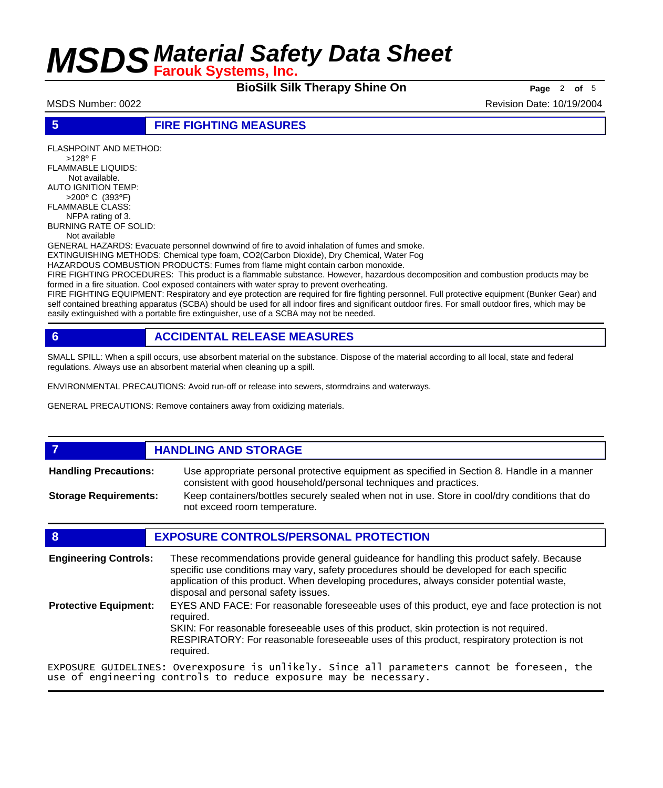**BioSilk Silk Therapy Shine On Page** <sup>2</sup> **of** <sup>5</sup>

MSDS Number: 0022 **Revision Date: 10/19/2004** Revision Date: 10/19/2004

### **5 FIRE FIGHTING MEASURES**

FLASHPOINT AND METHOD: >128° F FLAMMABLE LIQUIDS: Not available. AUTO IGNITION TEMP: >200° C (393°F) FLAMMABLE CLASS: NFPA rating of 3. BURNING RATE OF SOLID: Not available GENERAL HAZARDS: Evacuate personnel downwind of fire to avoid inhalation of fumes and smoke. EXTINGUISHING METHODS: Chemical type foam, CO2(Carbon Dioxide), Dry Chemical, Water Fog HAZARDOUS COMBUSTION PRODUCTS: Fumes from flame might contain carbon monoxide. FIRE FIGHTING PROCEDURES: This product is a flammable substance. However, hazardous decomposition and combustion products may be formed in a fire situation. Cool exposed containers with water spray to prevent overheating. FIRE FIGHTING EQUIPMENT: Respiratory and eye protection are required for fire fighting personnel. Full protective equipment (Bunker Gear) and

self contained breathing apparatus (SCBA) should be used for all indoor fires and significant outdoor fires. For small outdoor fires, which may be easily extinguished with a portable fire extinguisher, use of a SCBA may not be needed.

## **6 ACCIDENTAL RELEASE MEASURES**

SMALL SPILL: When a spill occurs, use absorbent material on the substance. Dispose of the material according to all local, state and federal regulations. Always use an absorbent material when cleaning up a spill.

ENVIRONMENTAL PRECAUTIONS: Avoid run-off or release into sewers, stormdrains and waterways.

GENERAL PRECAUTIONS: Remove containers away from oxidizing materials.

#### **7 HANDLING AND STORAGE** Use appropriate personal protective equipment as specified in Section 8. Handle in a manner consistent with good household/personal techniques and practices. **Handling Precautions:** Keep containers/bottles securely sealed when not in use. Store in cool/dry conditions that do not exceed room temperature. **Storage Requirements:**

### **8 EXPOSURE CONTROLS/PERSONAL PROTECTION**

These recommendations provide general guideance for handling this product safely. Because specific use conditions may vary, safety procedures should be developed for each specific application of this product. When developing procedures, always consider potential waste, disposal and personal safety issues. **Engineering Controls:** EYES AND FACE: For reasonable foreseeable uses of this product, eye and face protection is not required. SKIN: For reasonable foreseeable uses of this product, skin protection is not required. RESPIRATORY: For reasonable foreseeable uses of this product, respiratory protection is not required. **Protective Equipment:** EXPOSURE GUIDELINES: Overexposure is unlikely. Since all parameters cannot be foreseen, the use of engineering controls to reduce exposure may be necessary.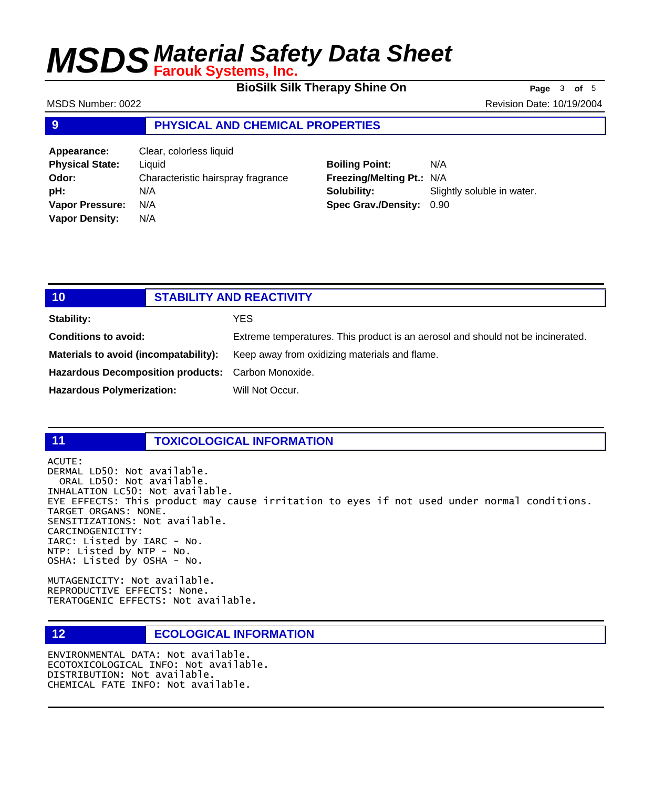**BioSilk Silk Therapy Shine On** Page 3 of 5

MSDS Number: 0022 **Revision Date: 10/19/2004** Revision Date: 10/19/2004

## **9 PHYSICAL AND CHEMICAL PROPERTIES**

| Appearance:            | Clear, colorless liquid            |
|------------------------|------------------------------------|
| <b>Physical State:</b> | Liquid                             |
| Odor:                  | Characteristic hairspray fragrance |
| pH:                    | N/A                                |
| <b>Vapor Pressure:</b> | N/A                                |
| <b>Vapor Density:</b>  | N/A                                |

## **Boiling Point:** N/A **Freezing/Melting Pt.:** N/A **Solubility:** Slightly soluble in water. **Spec Grav./Density:** 0.90

| 10                                                 | <b>STABILITY AND REACTIVITY</b>                                                 |
|----------------------------------------------------|---------------------------------------------------------------------------------|
| <b>Stability:</b>                                  | YES                                                                             |
| <b>Conditions to avoid:</b>                        | Extreme temperatures. This product is an aerosol and should not be incinerated. |
| Materials to avoid (incompatability):              | Keep away from oxidizing materials and flame.                                   |
| Hazardous Decomposition products: Carbon Monoxide. |                                                                                 |
| <b>Hazardous Polymerization:</b>                   | Will Not Occur.                                                                 |

## **11 TOXICOLOGICAL INFORMATION**

ACUTE: DERMAL LD50: Not available. ORAL LD50: Not available. INHALATION LC50: Not available. EYE EFFECTS: This product may cause irritation to eyes if not used under normal conditions. TARGET ORGANS: NONE. SENSITIZATIONS: Not available. CARCINOGENICITY: IARC: Listed by IARC - No. NTP: Listed by NTP - No. OSHA: Listed by OSHA - No.

MUTAGENICITY: Not available. REPRODUCTIVE EFFECTS: None. TERATOGENIC EFFECTS: Not available.

### **12 ECOLOGICAL INFORMATION**

ENVIRONMENTAL DATA: Not available. ECOTOXICOLOGICAL INFO: Not available. DISTRIBUTION: Not available. CHEMICAL FATE INFO: Not available.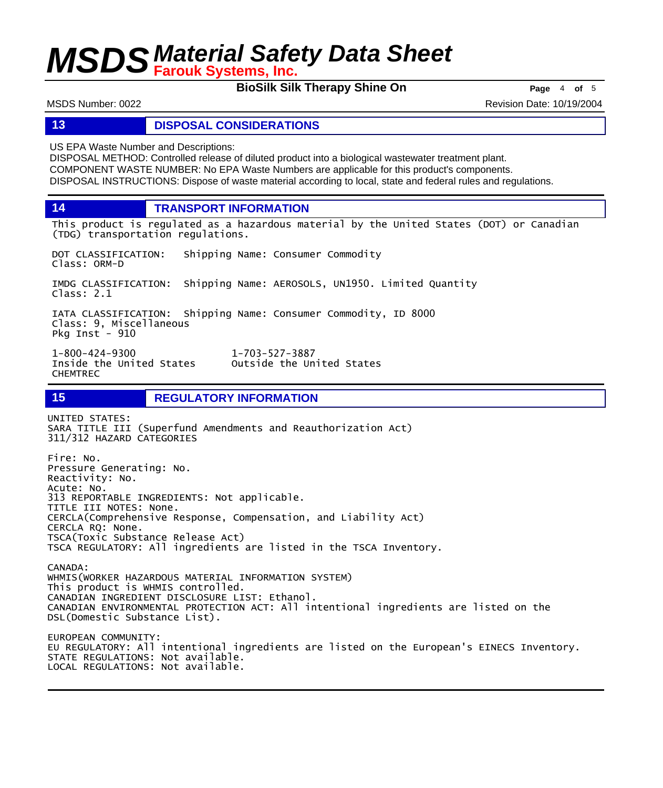**BioSilk Silk Therapy Shine On Page** <sup>4</sup> **of** <sup>5</sup>

MSDS Number: 0022 **Revision Date: 10/19/2004** Revision Date: 10/19/2004

### **13 DISPOSAL CONSIDERATIONS**

US EPA Waste Number and Descriptions:

DISPOSAL METHOD: Controlled release of diluted product into a biological wastewater treatment plant. COMPONENT WASTE NUMBER: No EPA Waste Numbers are applicable for this product's components. DISPOSAL INSTRUCTIONS: Dispose of waste material according to local, state and federal rules and regulations.

**14 TRANSPORT INFORMATION**

This product is regulated as a hazardous material by the United States (DOT) or Canadian (TDG) transportation regulations.

DOT CLASSIFICATION: Shipping Name: Consumer Commodity Class: ORM-D

IMDG CLASSIFICATION: Shipping Name: AEROSOLS, UN1950. Limited Quantity Class: 2.1

IATA CLASSIFICATION: Shipping Name: Consumer Commodity, ID 8000 Class: 9, Miscellaneous Pkg Inst - 910

1-800-424-9300 1-703-527-3887 Outside the United States CHEMTREC

**15 REGULATORY INFORMATION**

UNITED STATES: SARA TITLE III (Superfund Amendments and Reauthorization Act) 311/312 HAZARD CATEGORIES

Fire: No. Pressure Generating: No. Reactivity: No. Acute: No. 313 REPORTABLE INGREDIENTS: Not applicable. TITLE III NOTES: None. CERCLA(Comprehensive Response, Compensation, and Liability Act) CERCLA RQ: None. TSCA(Toxic Substance Release Act) TSCA REGULATORY: All ingredients are listed in the TSCA Inventory. CANADA: WHMIS(WORKER HAZARDOUS MATERIAL INFORMATION SYSTEM) This product is WHMIS controlled. CANADIAN INGREDIENT DISCLOSURE LIST: Ethanol. CANADIAN ENVIRONMENTAL PROTECTION ACT: All intentional ingredients are listed on the DSL(Domestic Substance List).

EUROPEAN COMMUNITY: EU REGULATORY: All intentional ingredients are listed on the European's EINECS Inventory. STATE REGULATIONS: Not available. LOCAL REGULATIONS: Not available.